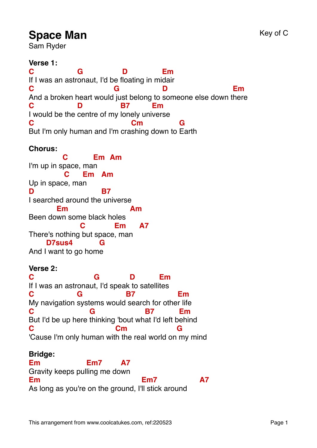# **Space Man** Key of C

Sam Ryder

**Verse 1: C** If I was an astr onaut, I'd be f loating in mi dair **G D Em C** And a broken heart would just belong to someone else down t here **G D Em C** I would be the centre of my lonely uni verse **D B7 Em C** But I'm only human and I'm cra shing down to Earth **Cm G**

## **Chorus:**

I'm up in s pace, ma n **C Em Am** Up in spac e, ma n **C Em Am D** I searched around the universe **B7** Been do wn some black holes **Em Am** There's nothing but space , man **C Em A7** And I want to go hom e **D7sus4 G**

#### **Verse 2:**

**C** If I was an astronaut, I'd speak to satellites **G D Em C** My navigation systems would search for othe r life **G B7 Em C** But I'd be up here thinking 'bout what I'd left behind **G B7 Em C** 'Cause I'm only human with the real world on my mind **Cm G**

## **Bridge:**

**Em** Gravity keeps pul ling me do wn **Em7 A7 Em** As long as you're on the ground, I' ll stick around **Em7 A7**